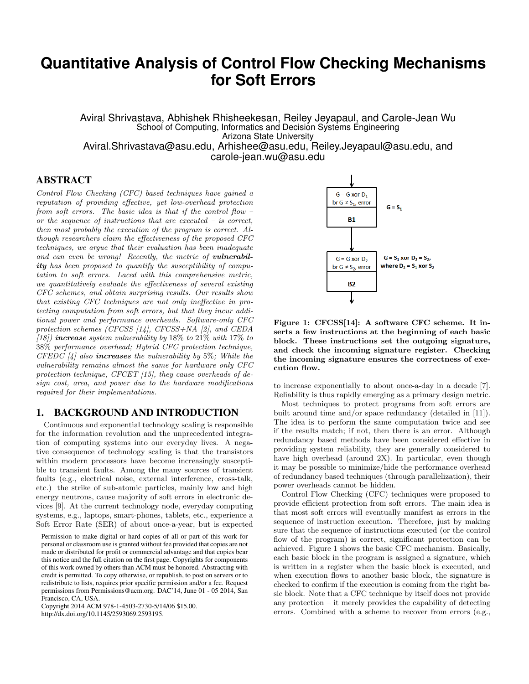# **Quantitative Analysis of Control Flow Checking Mechanisms for Soft Errors**

Aviral Shrivastava, Abhishek Rhisheekesan, Reiley Jeyapaul, and Carole-Jean Wu School of Computing, Informatics and Decision Systems Engineering Arizona State University Aviral.Shrivastava@asu.edu, Arhishee@asu.edu, Reiley.Jeyapaul@asu.edu, and carole-jean.wu@asu.edu

# ABSTRACT

Control Flow Checking (CFC) based techniques have gained a reputation of providing effective, yet low-overhead protection from soft errors. The basic idea is that if the control flow  $$ or the sequence of instructions that are executed – is correct, then most probably the execution of the program is correct. Although researchers claim the effectiveness of the proposed CFC techniques, we argue that their evaluation has been inadequate and can even be wrong! Recently, the metric of vulnerability has been proposed to quantify the susceptibility of computation to soft errors. Laced with this comprehensive metric, we quantitatively evaluate the effectiveness of several existing CFC schemes, and obtain surprising results. Our results show that existing CFC techniques are not only ineffective in protecting computation from soft errors, but that they incur additional power and performance overheads. Software-only CFC protection schemes (CFCSS [14], CFCSS+NA [2], and CEDA [18]) increase system vulnerability by  $18\%$  to  $21\%$  with  $17\%$  to 38% performance overhead; Hybrid CFC protection technique, CFEDC  $[4]$  also **increases** the vulnerability by 5%; While the vulnerability remains almost the same for hardware only CFC protection technique, CFCET [15], they cause overheads of design cost, area, and power due to the hardware modifications required for their implementations.

## 1. BACKGROUND AND INTRODUCTION

Continuous and exponential technology scaling is responsible for the information revolution and the unprecedented integration of computing systems into our everyday lives. A negative consequence of technology scaling is that the transistors within modern processors have become increasingly susceptible to transient faults. Among the many sources of transient faults (e.g., electrical noise, external interference, cross-talk, etc.) the strike of sub-atomic particles, mainly low and high energy neutrons, cause majority of soft errors in electronic devices [9]. At the current technology node, everyday computing systems, e.g., laptops, smart-phones, tablets, etc., experience a Soft Error Rate (SER) of about once-a-year, but is expected

Permission to make digital or hard copies of all or part of this work for personal or classroom use is granted without fee provided that copies are not made or distributed for profit or commercial advantage and that copies bear this notice and the full citation on the first page. Copyrights for components of this work owned by others than ACM must be honored. Abstracting with credit is permitted. To copy otherwise, or republish, to post on servers or to redistribute to lists, requires prior specific permission and/or a fee. Request permissions from Permissions@acm.org. DAC'14, June 01 - 05 2014, San Francisco, CA, USA.

Copyright 2014 ACM 978-1-4503-2730-5/14/06 \$15.00. http://dx.doi.org/10.1145/2593069.2593195.



Figure 1: CFCSS[14]: A software CFC scheme. It inserts a few instructions at the beginning of each basic block. These instructions set the outgoing signature, and check the incoming signature register. Checking the incoming signature ensures the correctness of execution flow.

to increase exponentially to about once-a-day in a decade [7]. Reliability is thus rapidly emerging as a primary design metric.

Most techniques to protect programs from soft errors are built around time and/or space redundancy (detailed in [11]). The idea is to perform the same computation twice and see if the results match; if not, then there is an error. Although redundancy based methods have been considered effective in providing system reliability, they are generally considered to have high overhead (around 2X). In particular, even though it may be possible to minimize/hide the performance overhead of redundancy based techniques (through parallelization), their power overheads cannot be hidden.

Control Flow Checking (CFC) techniques were proposed to provide efficient protection from soft errors. The main idea is that most soft errors will eventually manifest as errors in the sequence of instruction execution. Therefore, just by making sure that the sequence of instructions executed (or the control flow of the program) is correct, significant protection can be achieved. Figure 1 shows the basic CFC mechanism. Basically, each basic block in the program is assigned a signature, which is written in a register when the basic block is executed, and when execution flows to another basic block, the signature is checked to confirm if the execution is coming from the right basic block. Note that a CFC technique by itself does not provide any protection – it merely provides the capability of detecting errors. Combined with a scheme to recover from errors (e.g.,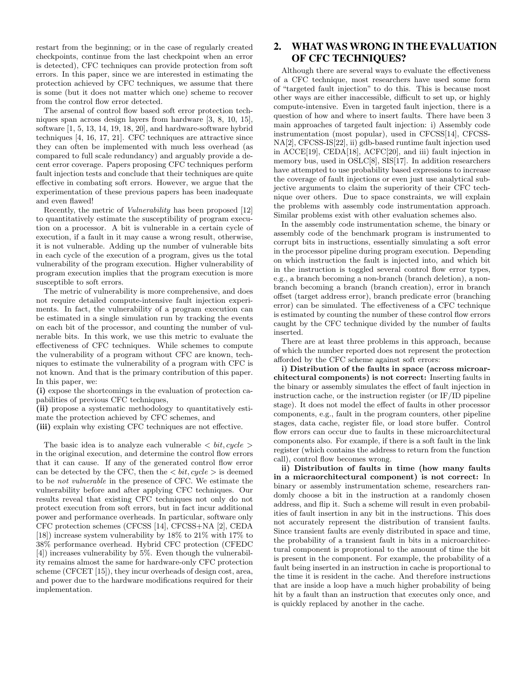restart from the beginning; or in the case of regularly created checkpoints, continue from the last checkpoint when an error is detected), CFC techniques can provide protection from soft errors. In this paper, since we are interested in estimating the protection achieved by CFC techniques, we assume that there is some (but it does not matter which one) scheme to recover from the control flow error detected.

The arsenal of control flow based soft error protection techniques span across design layers from hardware [3, 8, 10, 15], software [1, 5, 13, 14, 19, 18, 20], and hardware-software hybrid techniques [4, 16, 17, 21]. CFC techniques are attractive since they can often be implemented with much less overhead (as compared to full scale redundancy) and arguably provide a decent error coverage. Papers proposing CFC techniques perform fault injection tests and conclude that their techniques are quite effective in combating soft errors. However, we argue that the experimentation of these previous papers has been inadequate and even flawed!

Recently, the metric of Vulnerability has been proposed [12] to quantitatively estimate the susceptibility of program execution on a processor. A bit is vulnerable in a certain cycle of execution, if a fault in it may cause a wrong result, otherwise, it is not vulnerable. Adding up the number of vulnerable bits in each cycle of the execution of a program, gives us the total vulnerability of the program execution. Higher vulnerability of program execution implies that the program execution is more susceptible to soft errors.

The metric of vulnerability is more comprehensive, and does not require detailed compute-intensive fault injection experiments. In fact, the vulnerability of a program execution can be estimated in a single simulation run by tracking the events on each bit of the processor, and counting the number of vulnerable bits. In this work, we use this metric to evaluate the effectiveness of CFC techniques. While schemes to compute the vulnerability of a program without CFC are known, techniques to estimate the vulnerability of a program with CFC is not known. And that is the primary contribution of this paper. In this paper, we:

(i) expose the shortcomings in the evaluation of protection capabilities of previous CFC techniques,

(ii) propose a systematic methodology to quantitatively estimate the protection achieved by CFC schemes, and

(iii) explain why existing CFC techniques are not effective.

The basic idea is to analyze each vulnerable  $\langle bit, cycle \rangle$ in the original execution, and determine the control flow errors that it can cause. If any of the generated control flow error can be detected by the CFC, then the  $\langle bit, cycle \rangle$  is deemed to be not vulnerable in the presence of CFC. We estimate the vulnerability before and after applying CFC techniques. Our results reveal that existing CFC techniques not only do not protect execution from soft errors, but in fact incur additional power and performance overheads. In particular, software only CFC protection schemes (CFCSS [14], CFCSS+NA [2], CEDA [18]) increase system vulnerability by 18% to 21% with 17% to 38% performance overhead. Hybrid CFC protection (CFEDC [4]) increases vulnerability by 5%. Even though the vulnerability remains almost the same for hardware-only CFC protection scheme (CFCET [15]), they incur overheads of design cost, area, and power due to the hardware modifications required for their implementation.

# 2. WHAT WAS WRONG IN THE EVALUATION OF CFC TECHNIQUES?

Although there are several ways to evaluate the effectiveness of a CFC technique, most researchers have used some form of "targeted fault injection" to do this. This is because most other ways are either inaccessible, difficult to set up, or highly compute-intensive. Even in targeted fault injection, there is a question of how and where to insert faults. There have been 3 main approaches of targeted fault injection: i) Assembly code instrumentation (most popular), used in CFCSS[14], CFCSS-NA[2], CFCSS-IS[22], ii) gdb-based runtime fault injection used in ACCE[19], CEDA[18], ACFC[20], and iii) fault injection in memory bus, used in OSLC[8], SIS[17]. In addition researchers have attempted to use probability based expressions to increase the coverage of fault injections or even just use analytical subjective arguments to claim the superiority of their CFC technique over others. Due to space constraints, we will explain the problems with assembly code instrumentation approach. Similar problems exist with other evaluation schemes also.

In the assembly code instrumentation scheme, the binary or assembly code of the benchmark program is instrumented to corrupt bits in instructions, essentially simulating a soft error in the processor pipeline during program execution. Depending on which instruction the fault is injected into, and which bit in the instruction is toggled several control flow error types, e.g., a branch becoming a non-branch (branch deletion), a nonbranch becoming a branch (branch creation), error in branch offset (target address error), branch predicate error (branching error) can be simulated. The effectiveness of a CFC technique is estimated by counting the number of these control flow errors caught by the CFC technique divided by the number of faults inserted.

There are at least three problems in this approach, because of which the number reported does not represent the protection afforded by the CFC scheme against soft errors:

i) Distribution of the faults in space (across microarchitectural components) is not correct: Inserting faults in the binary or assembly simulates the effect of fault injection in instruction cache, or the instruction register (or IF/ID pipeline stage). It does not model the effect of faults in other processor components, e.g., fault in the program counters, other pipeline stages, data cache, register file, or load store buffer. Control flow errors can occur due to faults in these microarchitectural components also. For example, if there is a soft fault in the link register (which contains the address to return from the function call), control flow becomes wrong.

ii) Distribution of faults in time (how many faults in a micraorchitectural component) is not correct: In binary or assembly instrumentation scheme, researchers randomly choose a bit in the instruction at a randomly chosen address, and flip it. Such a scheme will result in even probabilities of fault insertion in any bit in the instructions. This does not accurately represent the distribution of transient faults. Since transient faults are evenly distributed in space and time, the probability of a transient fault in bits in a microarchitectural component is proprotional to the amount of time the bit is present in the component. For example, the probability of a fault being inserted in an instruction in cache is proportional to the time it is resident in the cache. And therefore instructions that are inside a loop have a much higher probability of being hit by a fault than an instruction that executes only once, and is quickly replaced by another in the cache.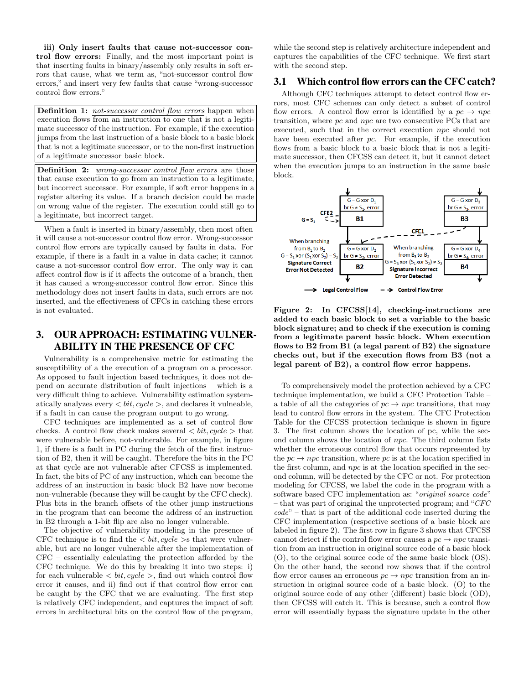iii) Only insert faults that cause not-successor control flow errors: Finally, and the most important point is that inserting faults in binary/assembly only results in soft errors that cause, what we term as, "not-successor control flow errors," and insert very few faults that cause "wrong-successor control flow errors."

**Definition 1:** not-successor control flow errors happen when execution flows from an instruction to one that is not a legitimate successor of the instruction. For example, if the execution jumps from the last instruction of a basic block to a basic block that is not a legitimate successor, or to the non-first instruction of a legitimate successor basic block.

Definition 2: wrong-successor control flow errors are those that cause execution to go from an instruction to a legitimate, but incorrect successor. For example, if soft error happens in a register altering its value. If a branch decision could be made on wrong value of the register. The execution could still go to a legitimate, but incorrect target.

When a fault is inserted in binary/assembly, then most often it will cause a not-successor control flow error. Wrong-successor control flow errors are typically caused by faults in data. For example, if there is a fault in a value in data cache; it cannot cause a not-successor control flow error. The only way it can affect control flow is if it affects the outcome of a branch, then it has caused a wrong-successor control flow error. Since this methodology does not insert faults in data, such errors are not inserted, and the effectiveness of CFCs in catching these errors is not evaluated.

# 3. OUR APPROACH: ESTIMATING VULNER-ABILITY IN THE PRESENCE OF CFC

Vulnerability is a comprehensive metric for estimating the susceptibility of a the execution of a program on a processor. As opposed to fault injection based techniques, it does not depend on accurate distribution of fault injections – which is a very difficult thing to achieve. Vulnerability estimation systematically analyzes every **, and declares it vulneable,** if a fault in can cause the program output to go wrong.

CFC techniques are implemented as a set of control flow checks. A control flow check makes several  $\langle bit, cycle \rangle$  that were vulnerable before, not-vulnerable. For example, in figure 1, if there is a fault in PC during the fetch of the first instruction of B2, then it will be caught. Therefore the bits in the PC at that cycle are not vulnerable after CFCSS is implemented. In fact, the bits of PC of any instruction, which can become the address of an instruction in basic block B2 have now become non-vulnerable (because they will be caught by the CFC check). Plus bits in the branch offsets of the other jump instructions in the program that can become the address of an instruction in B2 through a 1-bit flip are also no longer vulnerable.

The objective of vulnerability modeling in the presence of CFC technique is to find the  $\langle bit, cycle \rangle$  is that were vulnerable, but are no longer vulnerable after the implementation of CFC – essentially calculating the protection afforded by the CFC technique. We do this by breaking it into two steps: i) for each vulnerable  $\langle bit, cycle \rangle$ , find out which control flow error it causes, and ii) find out if that control flow error can be caught by the CFC that we are evaluating. The first step is relatively CFC independent, and captures the impact of soft errors in architectural bits on the control flow of the program,

while the second step is relatively architecture independent and captures the capabilities of the CFC technique. We first start with the second step.

#### 3.1 Which control flow errors can the CFC catch?

Although CFC techniques attempt to detect control flow errors, most CFC schemes can only detect a subset of control flow errors. A control flow error is identified by a  $pc \rightarrow npc$ transition, where pc and npc are two consecutive PCs that are executed, such that in the correct execution npc should not have been executed after pc. For example, if the execution flows from a basic block to a basic block that is not a legitimate successor, then CFCSS can detect it, but it cannot detect when the execution jumps to an instruction in the same basic block.



Figure 2: In CFCSS[14], checking-instructions are added to each basic block to set a variable to the basic block signature; and to check if the execution is coming from a legitimate parent basic block. When execution flows to B2 from B1 (a legal parent of B2) the signature checks out, but if the execution flows from B3 (not a legal parent of B2), a control flow error happens.

To comprehensively model the protection achieved by a CFC technique implementation, we build a CFC Protection Table – a table of all the categories of  $pc \rightarrow npc$  transitions, that may lead to control flow errors in the system. The CFC Protection Table for the CFCSS protection technique is shown in figure 3. The first column shows the location of pc, while the second column shows the location of npc. The third column lists whether the erroneous control flow that occurs represented by the  $pc \rightarrow npc$  transition, where pc is at the location specified in the first column, and npc is at the location specified in the second column, will be detected by the CFC or not. For protection modeling for CFCSS, we label the code in the program with a software based CFC implementation as: "original source code" – that was part of original the unprotected program; and "CFC  $code"$  – that is part of the additional code inserted during the CFC implementation (respective sections of a basic block are labeled in figure 2). The first row in figure 3 shows that CFCSS cannot detect if the control flow error causes a  $pc \rightarrow npc$  transition from an instruction in original source code of a basic block (O), to the original source code of the same basic block (OS). On the other hand, the second row shows that if the control flow error causes an erroneous  $pc \rightarrow npc$  transition from an instruction in original source code of a basic block. (O) to the original source code of any other (different) basic block (OD), then CFCSS will catch it. This is because, such a control flow error will essentially bypass the signature update in the other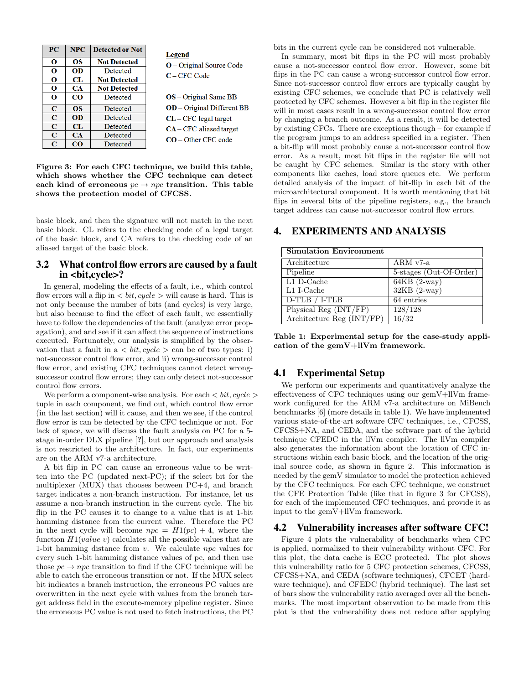| <b>PC</b>   | NPC       | <b>Detected or Not</b> |
|-------------|-----------|------------------------|
| О           | <b>OS</b> | <b>Not Detected</b>    |
| O           | <b>OD</b> | Detected               |
| О           | CL        | <b>Not Detected</b>    |
| O           | <b>CA</b> | <b>Not Detected</b>    |
| О           | <b>CO</b> | Detected               |
| $\mathbf C$ | <b>OS</b> | Detected               |
| C           | <b>OD</b> | <b>Detected</b>        |
| C           | CL.       | Detected               |
| C           | <b>CA</b> | Detected               |
| C           | CО        | Detected               |

Figure 3: For each CFC technique, we build this table, which shows whether the CFC technique can detect each kind of erroneous  $pc \rightarrow npc$  transition. This table shows the protection model of CFCSS.

basic block, and then the signature will not match in the next basic block. CL refers to the checking code of a legal target of the basic block, and CA refers to the checking code of an aliased target of the basic block.

#### 3.2 What control flow errors are caused by a fault in <br/> <br/>
lessum <br/>
in <br/>
lessumment of the set of the set of the set of the<br/>
in set of the set of the set of the set of the set of the<br/>
in set of the set of the set of the set of the set of the<br/>
in

In general, modeling the effects of a fault, i.e., which control flow errors will a flip in  $\langle bit, cycle \rangle$  will cause is hard. This is not only because the number of bits (and cycles) is very large, but also because to find the effect of each fault, we essentially have to follow the dependencies of the fault (analyze error propagation), and and see if it can affect the sequence of instructions executed. Fortunately, our analysis is simplified by the observation that a fault in  $a < bit, cycle > can$  be of two types: i) not-successor control flow error, and ii) wrong-successor control flow error, and existing CFC techniques cannot detect wrongsuccessor control flow errors; they can only detect not-successor control flow errors.

We perform a component-wise analysis. For each  $\langle bit, cycle \rangle$ tuple in each component, we find out, which control flow error (in the last section) will it cause, and then we see, if the control flow error is can be detected by the CFC technique or not. For lack of space, we will discuss the fault analysis on PC for a 5 stage in-order DLX pipeline [?], but our approach and analysis is not restricted to the architecture. In fact, our experiments are on the ARM v7-a architecture.

A bit flip in PC can cause an erroneous value to be written into the PC (updated next-PC); if the select bit for the multiplexer (MUX) that chooses between PC+4, and branch target indicates a non-branch instruction. For instance, let us assume a non-branch instruction in the current cycle. The bit flip in the PC causes it to change to a value that is at 1-bit hamming distance from the current value. Therefore the PC in the next cycle will become  $npc = H1(pc) + 4$ , where the function  $H1(value\ v)$  calculates all the possible values that are 1-bit hamming distance from v. We calculate npc values for every such 1-bit hamming distance values of pc, and then use those  $pc \rightarrow npc$  transition to find if the CFC technique will be able to catch the erroneous transition or not. If the MUX select bit indicates a branch instruction, the erroneous PC values are overwritten in the next cycle with values from the branch target address field in the execute-memory pipeline register. Since the erroneous PC value is not used to fetch instructions, the PC bits in the current cycle can be considered not vulnerable.

In summary, most bit flips in the PC will most probably cause a not-successor control flow error. However, some bit flips in the PC can cause a wrong-successor control flow error. Since not-successor control flow errors are typically caught by existing CFC schemes, we conclude that PC is relatively well protected by CFC schemes. However a bit flip in the register file will in most cases result in a wrong-successor control flow error by changing a branch outcome. As a result, it will be detected by existing CFCs. There are exceptions though – for example if the program jumps to an address specified in a register. Then a bit-flip will most probably cause a not-successor control flow error. As a result, most bit flips in the register file will not be caught by CFC schemes. Similar is the story with other components like caches, load store queues etc. We perform detailed analysis of the impact of bit-flip in each bit of the microarchitectural component. It is worth mentioning that bit flips in several bits of the pipeline registers, e.g., the branch target address can cause not-successor control flow errors.

#### 4. EXPERIMENTS AND ANALYSIS

| <b>Simulation Environment</b> |                         |  |  |  |
|-------------------------------|-------------------------|--|--|--|
| Architecture                  | $ARM$ v7-a              |  |  |  |
| Pipeline                      | 5-stages (Out-Of-Order) |  |  |  |
| $L1$ D-Cache                  | $64KB$ $(2-way)$        |  |  |  |
| L1 I-Cache                    | $32KB$ (2-way)          |  |  |  |
| $D-TLB / I-TLB$               | 64 entries              |  |  |  |
| Physical Reg $(INT/FP)$       | 128/128                 |  |  |  |
| Architecture Reg $(INT/FP)$   | 16/32                   |  |  |  |

Table 1: Experimental setup for the case-study application of the gemV+llVm framework.

#### 4.1 Experimental Setup

We perform our experiments and quantitatively analyze the effectiveness of CFC techniques using our gemV+llVm framework configured for the ARM v7-a architecture on MiBench benchmarks [6] (more details in table 1). We have implemented various state-of-the-art software CFC techniques, i.e., CFCSS, CFCSS+NA, and CEDA, and the software part of the hybrid technique CFEDC in the llVm compiler. The llVm compiler also generates the information about the location of CFC instructions within each basic block, and the location of the original source code, as shown in figure 2. This information is needed by the gemV simulator to model the protection achieved by the CFC techniques. For each CFC technique, we construct the CFE Protection Table (like that in figure 3 for CFCSS), for each of the implemented CFC techniques, and provide it as input to the gemV+llVm framework.

#### 4.2 Vulnerability increases after software CFC!

Figure 4 plots the vulnerability of benchmarks when CFC is applied, normalized to their vulnerability without CFC. For this plot, the data cache is ECC protected. The plot shows this vulnerability ratio for 5 CFC protection schemes, CFCSS, CFCSS+NA, and CEDA (software techniques), CFCET (hardware technique), and CFEDC (hybrid technique). The last set of bars show the vulnerability ratio averaged over all the benchmarks. The most important observation to be made from this plot is that the vulnerability does not reduce after applying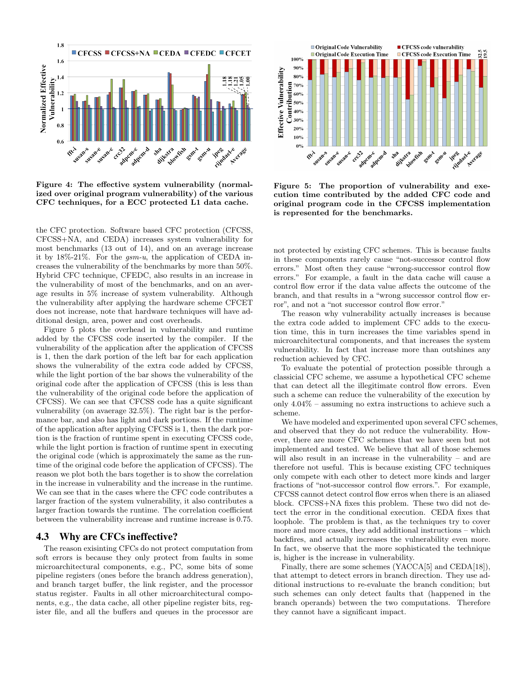

Figure 4: The effective system vulnerability (normalized over original program vulnerability) of the various CFC techniques, for a ECC protected L1 data cache.

the CFC protection. Software based CFC protection (CFCSS, CFCSS+NA, and CEDA) increases system vulnerability for most benchmarks (13 out of 14), and on an average increase it by  $18\%$ -21%. For the *gsm-u*, the application of CEDA increases the vulnerability of the benchmarks by more than 50%. Hybrid CFC technique, CFEDC, also results in an increase in the vulnerability of most of the benchmarks, and on an average results in 5% increase of system vulnerability. Although the vulnerability after applying the hardware scheme CFCET does not increase, note that hardware techniques will have additional design, area, power and cost overheads.

Figure 5 plots the overhead in vulnerability and runtime added by the CFCSS code inserted by the compiler. If the vulnerability of the application after the application of CFCSS is 1, then the dark portion of the left bar for each application shows the vulnerability of the extra code added by CFCSS, while the light portion of the bar shows the vulnerability of the original code after the application of CFCSS (this is less than the vulnerability of the original code before the application of CFCSS). We can see that CFCSS code has a quite significant vulnerability (on avaerage 32.5%). The right bar is the performance bar, and also has light and dark portions. If the runtime of the application after applying CFCSS is 1, then the dark portion is the fraction of runtime spent in executing CFCSS code, while the light portion is fraction of runtime spent in executing the original code (which is approximately the same as the runtime of the original code before the application of CFCSS). The reason we plot both the bars together is to show the correlation in the increase in vulnerability and the increase in the runtime. We can see that in the cases where the CFC code contributes a larger fraction of the system vulnerability, it also contributes a larger fraction towards the runtime. The correlation coefficient between the vulnerability increase and runtime increase is 0.75.

#### 4.3 Why are CFCs ineffective?

The reason exisinting CFCs do not protect computation from soft errors is because they only protect from faults in some microarchitectural components, e.g., PC, some bits of some pipeline registers (ones before the branch address generation), and branch target buffer, the link register, and the processor status register. Faults in all other microarchitectural components, e.g., the data cache, all other pipeline register bits, register file, and all the buffers and queues in the processor are



Figure 5: The proportion of vulnerability and execution time contributed by the added CFC code and original program code in the CFCSS implementation is represented for the benchmarks.

not protected by existing CFC schemes. This is because faults in these components rarely cause "not-successor control flow errors." Most often they cause "wrong-successor control flow errors." For example, a fault in the data cache will cause a control flow error if the data value affects the outcome of the branch, and that results in a "wrong successor control flow error", and not a "not successor control flow error."

The reason why vulnerability actually increases is because the extra code added to implement CFC adds to the execution time, this in turn increases the time variables spend in microarchitectural components, and that increases the system vulnerability. In fact that increase more than outshines any reduction achieved by CFC.

To evaluate the potential of protection possible through a classicial CFC scheme, we assume a hypothetical CFC scheme that can detect all the illegitimate control flow errors. Even such a scheme can reduce the vulnerability of the execution by only 4.04% – assuming no extra instructions to achieve such a scheme.

We have modeled and experimented upon several CFC schemes, and observed that they do not reduce the vulnerability. However, there are more CFC schemes that we have seen but not implemented and tested. We believe that all of those schemes will also result in an increase in the vulnerability – and are therefore not useful. This is because existing CFC techniques only compete with each other to detect more kinds and larger fractions of "not-successor control flow errors.". For example, CFCSS cannot detect control flow erros when there is an aliased block. CFCSS+NA fixes this problem. These two did not detect the error in the conditional execution. CEDA fixes that loophole. The problem is that, as the techniques try to cover more and more cases, they add additional instructions – which backfires, and actually increases the vulnerability even more. In fact, we observe that the more sophisticated the technique is, higher is the increase in vulnerability.

Finally, there are some schemes (YACCA[5] and CEDA[18]), that attempt to detect errors in branch direction. They use additional instructions to re-evaluate the branch condition; but such schemes can only detect faults that (happened in the branch operands) between the two computations. Therefore they cannot have a significant impact.